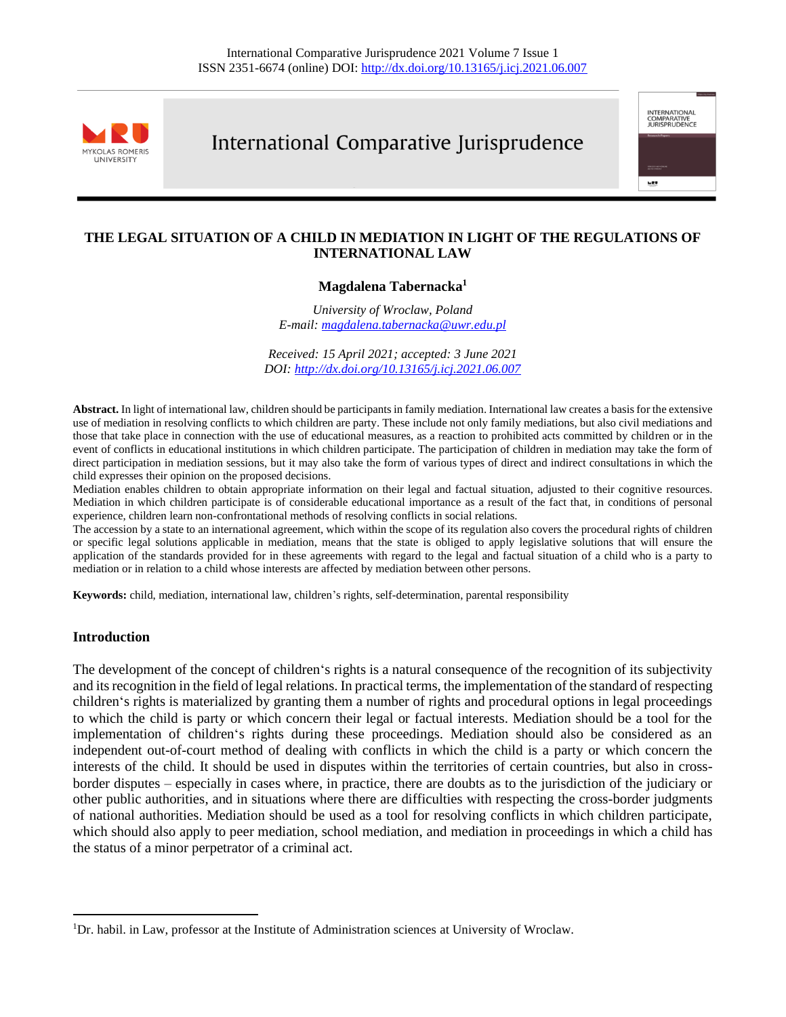

# International Comparative Jurisprudence



## **THE LEGAL SITUATION OF A CHILD IN MEDIATION IN LIGHT OF THE REGULATIONS OF INTERNATIONAL LAW**

## **Magdalena Tabernacka<sup>1</sup>**

*University of Wroclaw, Poland E-mail: [magdalena.tabernacka@uwr.edu.pl](mailto:magdalena.tabernacka@uwr.edu.pl)*

*Received: 15 April 2021; accepted: 3 June 2021 DOI[: http://dx.doi.org/10.13165/j.icj.2021.06.007](http://dx.doi.org/10.13165/j.icj.2021.06.007)*

**Abstract.** In light of international law, children should be participants in family mediation. International law creates a basis for the extensive use of mediation in resolving conflicts to which children are party. These include not only family mediations, but also civil mediations and those that take place in connection with the use of educational measures, as a reaction to prohibited acts committed by children or in the event of conflicts in educational institutions in which children participate. The participation of children in mediation may take the form of direct participation in mediation sessions, but it may also take the form of various types of direct and indirect consultations in which the child expresses their opinion on the proposed decisions.

Mediation enables children to obtain appropriate information on their legal and factual situation, adjusted to their cognitive resources. Mediation in which children participate is of considerable educational importance as a result of the fact that, in conditions of personal experience, children learn non-confrontational methods of resolving conflicts in social relations.

The accession by a state to an international agreement, which within the scope of its regulation also covers the procedural rights of children or specific legal solutions applicable in mediation, means that the state is obliged to apply legislative solutions that will ensure the application of the standards provided for in these agreements with regard to the legal and factual situation of a child who is a party to mediation or in relation to a child whose interests are affected by mediation between other persons.

**Keywords:** child, mediation, international law, children's rights, self-determination, parental responsibility

#### **Introduction**

The development of the concept of children's rights is a natural consequence of the recognition of its subjectivity and its recognition in the field of legal relations. In practical terms, the implementation of the standard of respecting children's rights is materialized by granting them a number of rights and procedural options in legal proceedings to which the child is party or which concern their legal or factual interests. Mediation should be a tool for the implementation of children's rights during these proceedings. Mediation should also be considered as an independent out-of-court method of dealing with conflicts in which the child is a party or which concern the interests of the child. It should be used in disputes within the territories of certain countries, but also in crossborder disputes – especially in cases where, in practice, there are doubts as to the jurisdiction of the judiciary or other public authorities, and in situations where there are difficulties with respecting the cross-border judgments of national authorities. Mediation should be used as a tool for resolving conflicts in which children participate, which should also apply to peer mediation, school mediation, and mediation in proceedings in which a child has the status of a minor perpetrator of a criminal act.

<sup>1</sup>Dr. habil. in Law, professor at the Institute of Administration sciences at University of Wroclaw.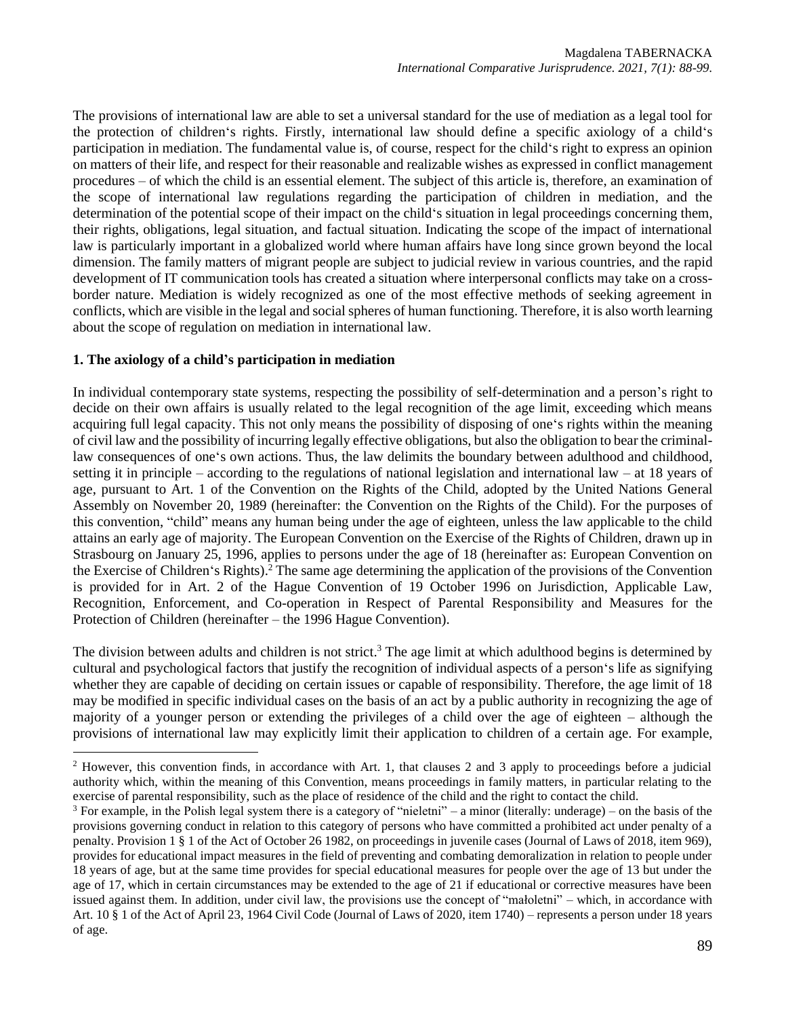The provisions of international law are able to set a universal standard for the use of mediation as a legal tool for the protection of children's rights. Firstly, international law should define a specific axiology of a child's participation in mediation. The fundamental value is, of course, respect for the child's right to express an opinion on matters of their life, and respect for their reasonable and realizable wishes as expressed in conflict management procedures – of which the child is an essential element. The subject of this article is, therefore, an examination of the scope of international law regulations regarding the participation of children in mediation, and the determination of the potential scope of their impact on the child's situation in legal proceedings concerning them, their rights, obligations, legal situation, and factual situation. Indicating the scope of the impact of international law is particularly important in a globalized world where human affairs have long since grown beyond the local dimension. The family matters of migrant people are subject to judicial review in various countries, and the rapid development of IT communication tools has created a situation where interpersonal conflicts may take on a crossborder nature. Mediation is widely recognized as one of the most effective methods of seeking agreement in conflicts, which are visible in the legal and social spheres of human functioning. Therefore, it is also worth learning about the scope of regulation on mediation in international law.

### **1. The axiology of a child's participation in mediation**

In individual contemporary state systems, respecting the possibility of self-determination and a person's right to decide on their own affairs is usually related to the legal recognition of the age limit, exceeding which means acquiring full legal capacity. This not only means the possibility of disposing of one's rights within the meaning of civil law and the possibility of incurring legally effective obligations, but also the obligation to bear the criminallaw consequences of one's own actions. Thus, the law delimits the boundary between adulthood and childhood, setting it in principle – according to the regulations of national legislation and international law – at 18 years of age, pursuant to Art. 1 of the Convention on the Rights of the Child, adopted by the United Nations General Assembly on November 20, 1989 (hereinafter: the Convention on the Rights of the Child). For the purposes of this convention, "child" means any human being under the age of eighteen, unless the law applicable to the child attains an early age of majority. The European Convention on the Exercise of the Rights of Children, drawn up in Strasbourg on January 25, 1996, applies to persons under the age of 18 (hereinafter as: European Convention on the Exercise of Children's Rights). <sup>2</sup> The same age determining the application of the provisions of the Convention is provided for in Art. 2 of the Hague Convention of 19 October 1996 on Jurisdiction, Applicable Law, Recognition, Enforcement, and Co-operation in Respect of Parental Responsibility and Measures for the Protection of Children (hereinafter – the 1996 Hague Convention).

The division between adults and children is not strict.<sup>3</sup> The age limit at which adulthood begins is determined by cultural and psychological factors that justify the recognition of individual aspects of a person's life as signifying whether they are capable of deciding on certain issues or capable of responsibility. Therefore, the age limit of 18 may be modified in specific individual cases on the basis of an act by a public authority in recognizing the age of majority of a younger person or extending the privileges of a child over the age of eighteen – although the provisions of international law may explicitly limit their application to children of a certain age. For example,

 $2$  However, this convention finds, in accordance with Art. 1, that clauses 2 and 3 apply to proceedings before a judicial authority which, within the meaning of this Convention, means proceedings in family matters, in particular relating to the exercise of parental responsibility, such as the place of residence of the child and the right to contact the child.

 $3$  For example, in the Polish legal system there is a category of "nieletni" – a minor (literally: underage) – on the basis of the provisions governing conduct in relation to this category of persons who have committed a prohibited act under penalty of a penalty. Provision 1 § 1 of the Act of October 26 1982, on proceedings in juvenile cases (Journal of Laws of 2018, item 969), provides for educational impact measures in the field of preventing and combating demoralization in relation to people under 18 years of age, but at the same time provides for special educational measures for people over the age of 13 but under the age of 17, which in certain circumstances may be extended to the age of 21 if educational or corrective measures have been issued against them. In addition, under civil law, the provisions use the concept of "małoletni" – which, in accordance with Art. 10 § 1 of the Act of April 23, 1964 Civil Code (Journal of Laws of 2020, item 1740) – represents a person under 18 years of age.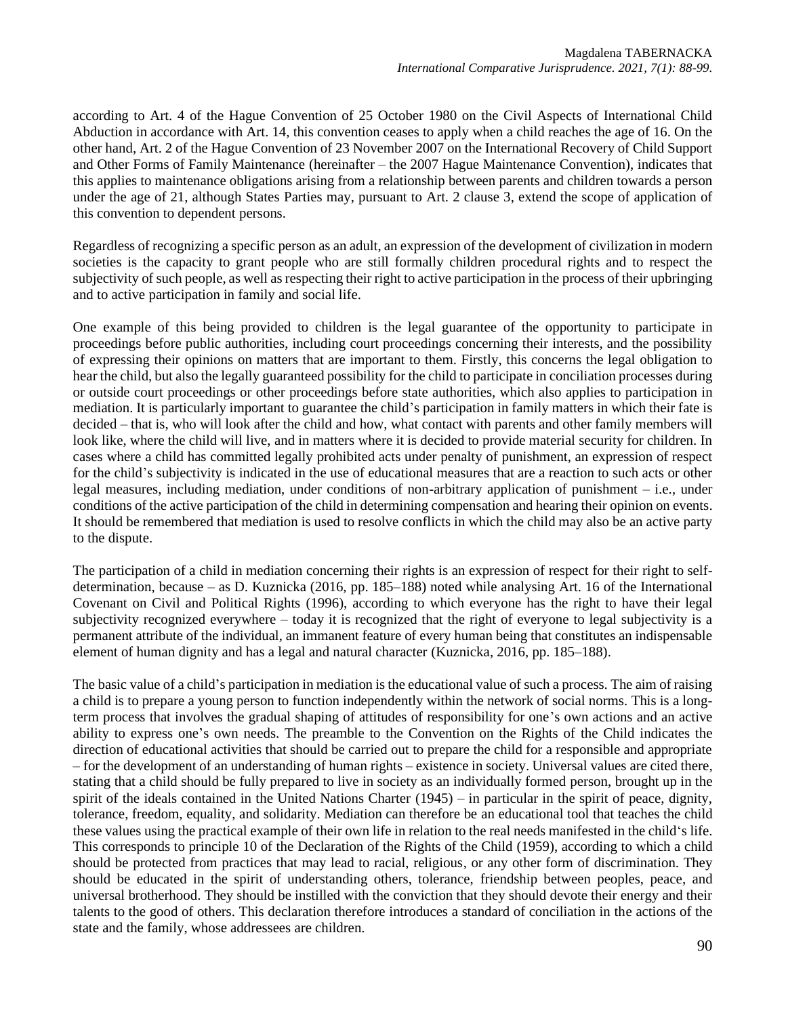according to Art. 4 of the Hague Convention of 25 October 1980 on the Civil Aspects of International Child Abduction in accordance with Art. 14, this convention ceases to apply when a child reaches the age of 16. On the other hand, Art. 2 of the Hague Convention of 23 November 2007 on the International Recovery of Child Support and Other Forms of Family Maintenance (hereinafter – the 2007 Hague Maintenance Convention), indicates that this applies to maintenance obligations arising from a relationship between parents and children towards a person under the age of 21, although States Parties may, pursuant to Art. 2 clause 3, extend the scope of application of this convention to dependent persons.

Regardless of recognizing a specific person as an adult, an expression of the development of civilization in modern societies is the capacity to grant people who are still formally children procedural rights and to respect the subjectivity of such people, as well as respecting their right to active participation in the process of their upbringing and to active participation in family and social life.

One example of this being provided to children is the legal guarantee of the opportunity to participate in proceedings before public authorities, including court proceedings concerning their interests, and the possibility of expressing their opinions on matters that are important to them. Firstly, this concerns the legal obligation to hear the child, but also the legally guaranteed possibility for the child to participate in conciliation processes during or outside court proceedings or other proceedings before state authorities, which also applies to participation in mediation. It is particularly important to guarantee the child's participation in family matters in which their fate is decided – that is, who will look after the child and how, what contact with parents and other family members will look like, where the child will live, and in matters where it is decided to provide material security for children. In cases where a child has committed legally prohibited acts under penalty of punishment, an expression of respect for the child's subjectivity is indicated in the use of educational measures that are a reaction to such acts or other legal measures, including mediation, under conditions of non-arbitrary application of punishment – i.e., under conditions of the active participation of the child in determining compensation and hearing their opinion on events. It should be remembered that mediation is used to resolve conflicts in which the child may also be an active party to the dispute.

The participation of a child in mediation concerning their rights is an expression of respect for their right to selfdetermination, because – as D. Kuznicka (2016, pp. 185–188) noted while analysing Art. 16 of the International Covenant on Civil and Political Rights (1996), according to which everyone has the right to have their legal subjectivity recognized everywhere – today it is recognized that the right of everyone to legal subjectivity is a permanent attribute of the individual, an immanent feature of every human being that constitutes an indispensable element of human dignity and has a legal and natural character (Kuznicka, 2016, pp. 185–188).

The basic value of a child's participation in mediation is the educational value of such a process. The aim of raising a child is to prepare a young person to function independently within the network of social norms. This is a longterm process that involves the gradual shaping of attitudes of responsibility for one's own actions and an active ability to express one's own needs. The preamble to the Convention on the Rights of the Child indicates the direction of educational activities that should be carried out to prepare the child for a responsible and appropriate – for the development of an understanding of human rights – existence in society. Universal values are cited there, stating that a child should be fully prepared to live in society as an individually formed person, brought up in the spirit of the ideals contained in the United Nations Charter (1945) – in particular in the spirit of peace, dignity, tolerance, freedom, equality, and solidarity. Mediation can therefore be an educational tool that teaches the child these values using the practical example of their own life in relation to the real needs manifested in the child's life. This corresponds to principle 10 of the Declaration of the Rights of the Child (1959), according to which a child should be protected from practices that may lead to racial, religious, or any other form of discrimination. They should be educated in the spirit of understanding others, tolerance, friendship between peoples, peace, and universal brotherhood. They should be instilled with the conviction that they should devote their energy and their talents to the good of others. This declaration therefore introduces a standard of conciliation in the actions of the state and the family, whose addressees are children.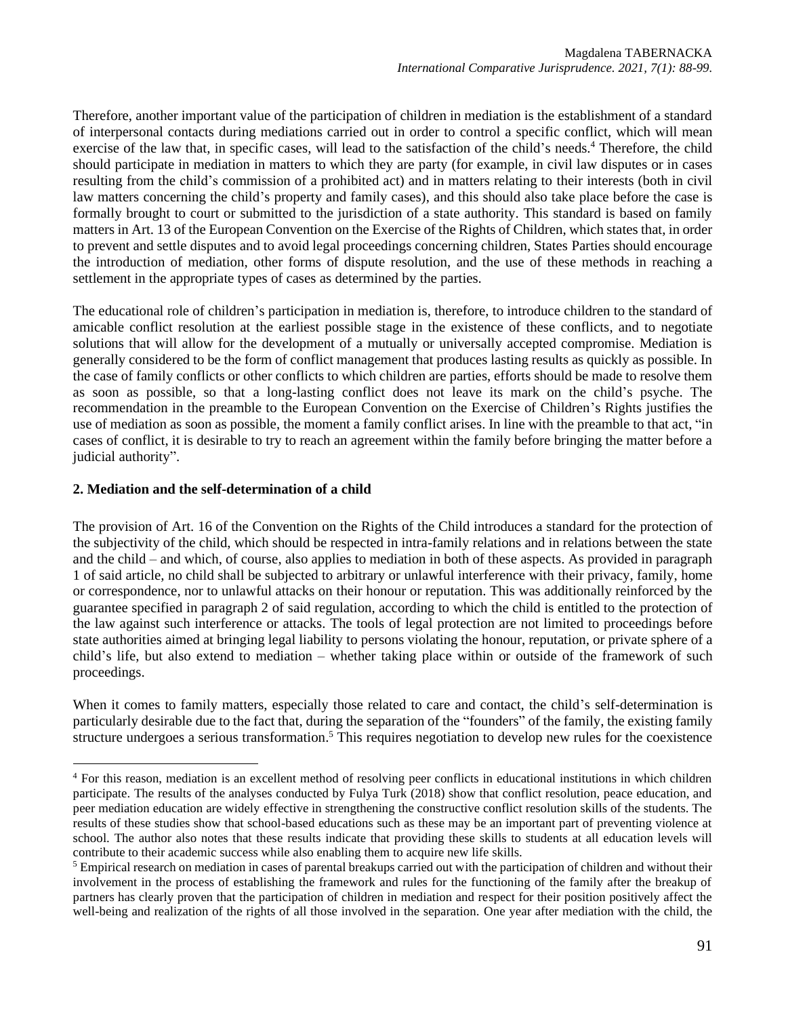Therefore, another important value of the participation of children in mediation is the establishment of a standard of interpersonal contacts during mediations carried out in order to control a specific conflict, which will mean exercise of the law that, in specific cases, will lead to the satisfaction of the child's needs. <sup>4</sup> Therefore, the child should participate in mediation in matters to which they are party (for example, in civil law disputes or in cases resulting from the child's commission of a prohibited act) and in matters relating to their interests (both in civil law matters concerning the child's property and family cases), and this should also take place before the case is formally brought to court or submitted to the jurisdiction of a state authority. This standard is based on family matters in Art. 13 of the European Convention on the Exercise of the Rights of Children, which states that, in order to prevent and settle disputes and to avoid legal proceedings concerning children, States Parties should encourage the introduction of mediation, other forms of dispute resolution, and the use of these methods in reaching a settlement in the appropriate types of cases as determined by the parties.

The educational role of children's participation in mediation is, therefore, to introduce children to the standard of amicable conflict resolution at the earliest possible stage in the existence of these conflicts, and to negotiate solutions that will allow for the development of a mutually or universally accepted compromise. Mediation is generally considered to be the form of conflict management that produces lasting results as quickly as possible. In the case of family conflicts or other conflicts to which children are parties, efforts should be made to resolve them as soon as possible, so that a long-lasting conflict does not leave its mark on the child's psyche. The recommendation in the preamble to the European Convention on the Exercise of Children's Rights justifies the use of mediation as soon as possible, the moment a family conflict arises. In line with the preamble to that act, "in cases of conflict, it is desirable to try to reach an agreement within the family before bringing the matter before a judicial authority".

### **2. Mediation and the self-determination of a child**

The provision of Art. 16 of the Convention on the Rights of the Child introduces a standard for the protection of the subjectivity of the child, which should be respected in intra-family relations and in relations between the state and the child – and which, of course, also applies to mediation in both of these aspects. As provided in paragraph 1 of said article, no child shall be subjected to arbitrary or unlawful interference with their privacy, family, home or correspondence, nor to unlawful attacks on their honour or reputation. This was additionally reinforced by the guarantee specified in paragraph 2 of said regulation, according to which the child is entitled to the protection of the law against such interference or attacks. The tools of legal protection are not limited to proceedings before state authorities aimed at bringing legal liability to persons violating the honour, reputation, or private sphere of a child's life, but also extend to mediation – whether taking place within or outside of the framework of such proceedings.

When it comes to family matters, especially those related to care and contact, the child's self-determination is particularly desirable due to the fact that, during the separation of the "founders" of the family, the existing family structure undergoes a serious transformation.<sup>5</sup> This requires negotiation to develop new rules for the coexistence

<sup>&</sup>lt;sup>4</sup> For this reason, mediation is an excellent method of resolving peer conflicts in educational institutions in which children participate. The results of the analyses conducted by Fulya Turk (2018) show that conflict resolution, peace education, and peer mediation education are widely effective in strengthening the constructive conflict resolution skills of the students. The results of these studies show that school-based educations such as these may be an important part of preventing violence at school. The author also notes that these results indicate that providing these skills to students at all education levels will contribute to their academic success while also enabling them to acquire new life skills.

<sup>&</sup>lt;sup>5</sup> Empirical research on mediation in cases of parental breakups carried out with the participation of children and without their involvement in the process of establishing the framework and rules for the functioning of the family after the breakup of partners has clearly proven that the participation of children in mediation and respect for their position positively affect the well-being and realization of the rights of all those involved in the separation. One year after mediation with the child, the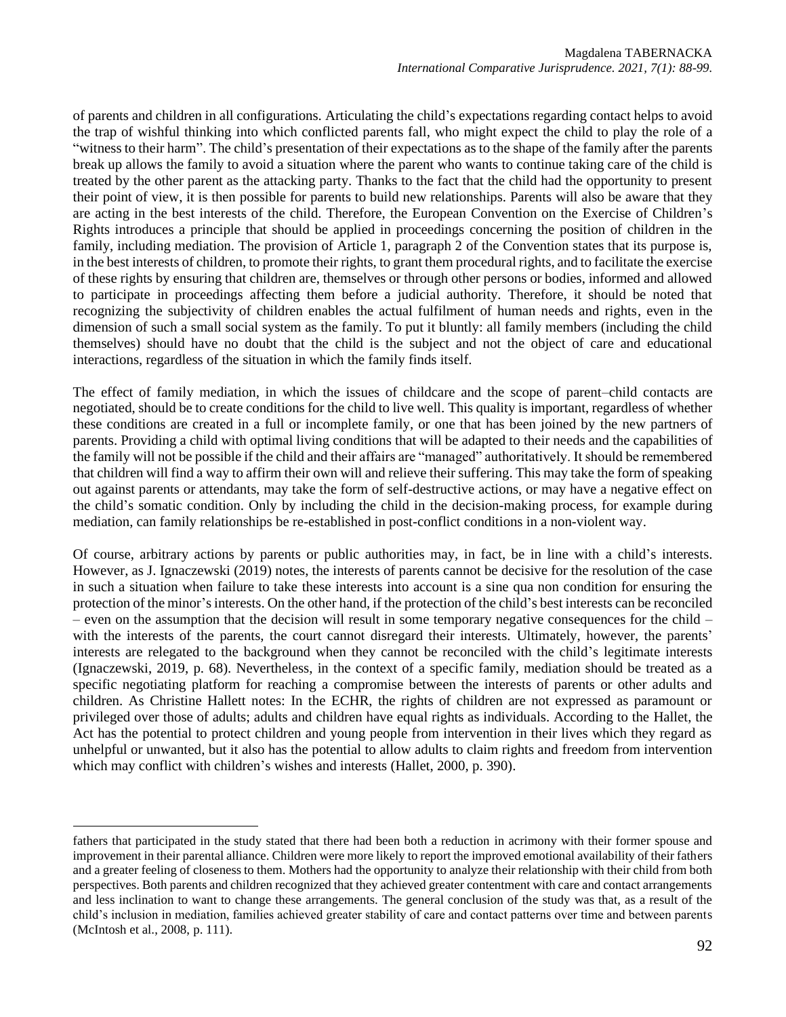of parents and children in all configurations. Articulating the child's expectations regarding contact helps to avoid the trap of wishful thinking into which conflicted parents fall, who might expect the child to play the role of a "witness to their harm". The child's presentation of their expectations as to the shape of the family after the parents break up allows the family to avoid a situation where the parent who wants to continue taking care of the child is treated by the other parent as the attacking party. Thanks to the fact that the child had the opportunity to present their point of view, it is then possible for parents to build new relationships. Parents will also be aware that they are acting in the best interests of the child. Therefore, the European Convention on the Exercise of Children's Rights introduces a principle that should be applied in proceedings concerning the position of children in the family, including mediation. The provision of Article 1, paragraph 2 of the Convention states that its purpose is, in the best interests of children, to promote their rights, to grant them procedural rights, and to facilitate the exercise of these rights by ensuring that children are, themselves or through other persons or bodies, informed and allowed to participate in proceedings affecting them before a judicial authority. Therefore, it should be noted that recognizing the subjectivity of children enables the actual fulfilment of human needs and rights, even in the dimension of such a small social system as the family. To put it bluntly: all family members (including the child themselves) should have no doubt that the child is the subject and not the object of care and educational interactions, regardless of the situation in which the family finds itself.

The effect of family mediation, in which the issues of childcare and the scope of parent–child contacts are negotiated, should be to create conditions for the child to live well. This quality is important, regardless of whether these conditions are created in a full or incomplete family, or one that has been joined by the new partners of parents. Providing a child with optimal living conditions that will be adapted to their needs and the capabilities of the family will not be possible if the child and their affairs are "managed" authoritatively. It should be remembered that children will find a way to affirm their own will and relieve their suffering. This may take the form of speaking out against parents or attendants, may take the form of self-destructive actions, or may have a negative effect on the child's somatic condition. Only by including the child in the decision-making process, for example during mediation, can family relationships be re-established in post-conflict conditions in a non-violent way.

Of course, arbitrary actions by parents or public authorities may, in fact, be in line with a child's interests. However, as J. Ignaczewski (2019) notes, the interests of parents cannot be decisive for the resolution of the case in such a situation when failure to take these interests into account is a sine qua non condition for ensuring the protection of the minor's interests. On the other hand, if the protection of the child's best interests can be reconciled – even on the assumption that the decision will result in some temporary negative consequences for the child – with the interests of the parents, the court cannot disregard their interests. Ultimately, however, the parents' interests are relegated to the background when they cannot be reconciled with the child's legitimate interests (Ignaczewski, 2019, p. 68). Nevertheless, in the context of a specific family, mediation should be treated as a specific negotiating platform for reaching a compromise between the interests of parents or other adults and children. As Christine Hallett notes: In the ECHR, the rights of children are not expressed as paramount or privileged over those of adults; adults and children have equal rights as individuals. According to the Hallet, the Act has the potential to protect children and young people from intervention in their lives which they regard as unhelpful or unwanted, but it also has the potential to allow adults to claim rights and freedom from intervention which may conflict with children's wishes and interests (Hallet, 2000, p. 390).

fathers that participated in the study stated that there had been both a reduction in acrimony with their former spouse and improvement in their parental alliance. Children were more likely to report the improved emotional availability of their fathers and a greater feeling of closeness to them. Mothers had the opportunity to analyze their relationship with their child from both perspectives. Both parents and children recognized that they achieved greater contentment with care and contact arrangements and less inclination to want to change these arrangements. The general conclusion of the study was that, as a result of the child's inclusion in mediation, families achieved greater stability of care and contact patterns over time and between parents (McIntosh et al., 2008, p. 111).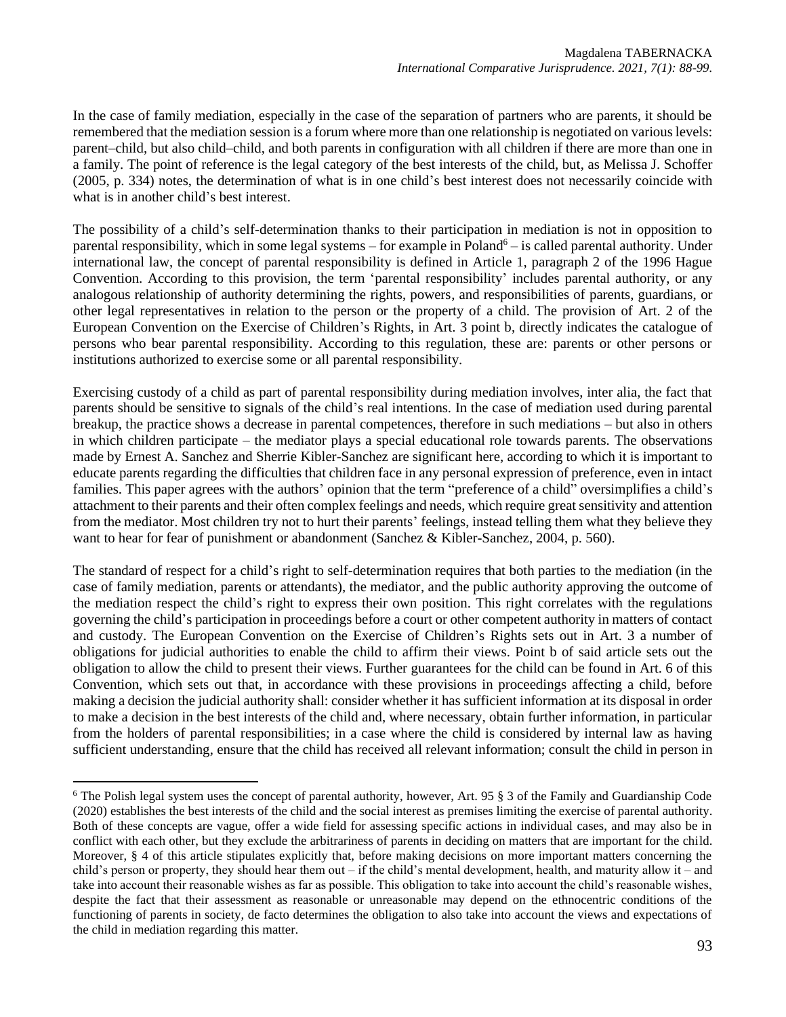In the case of family mediation, especially in the case of the separation of partners who are parents, it should be remembered that the mediation session is a forum where more than one relationship is negotiated on various levels: parent–child, but also child–child, and both parents in configuration with all children if there are more than one in a family. The point of reference is the legal category of the best interests of the child, but, as Melissa J. Schoffer (2005, p. 334) notes, the determination of what is in one child's best interest does not necessarily coincide with what is in another child's best interest.

The possibility of a child's self-determination thanks to their participation in mediation is not in opposition to parental responsibility, which in some legal systems – for example in Poland<sup>6</sup> – is called parental authority. Under international law, the concept of parental responsibility is defined in Article 1, paragraph 2 of the 1996 Hague Convention. According to this provision, the term 'parental responsibility' includes parental authority, or any analogous relationship of authority determining the rights, powers, and responsibilities of parents, guardians, or other legal representatives in relation to the person or the property of a child. The provision of Art. 2 of the European Convention on the Exercise of Children's Rights, in Art. 3 point b, directly indicates the catalogue of persons who bear parental responsibility. According to this regulation, these are: parents or other persons or institutions authorized to exercise some or all parental responsibility.

Exercising custody of a child as part of parental responsibility during mediation involves, inter alia, the fact that parents should be sensitive to signals of the child's real intentions. In the case of mediation used during parental breakup, the practice shows a decrease in parental competences, therefore in such mediations – but also in others in which children participate – the mediator plays a special educational role towards parents. The observations made by Ernest A. Sanchez and Sherrie Kibler-Sanchez are significant here, according to which it is important to educate parents regarding the difficulties that children face in any personal expression of preference, even in intact families. This paper agrees with the authors' opinion that the term "preference of a child" oversimplifies a child's attachment to their parents and their often complex feelings and needs, which require great sensitivity and attention from the mediator. Most children try not to hurt their parents' feelings, instead telling them what they believe they want to hear for fear of punishment or abandonment (Sanchez & Kibler-Sanchez, 2004, p. 560).

The standard of respect for a child's right to self-determination requires that both parties to the mediation (in the case of family mediation, parents or attendants), the mediator, and the public authority approving the outcome of the mediation respect the child's right to express their own position. This right correlates with the regulations governing the child's participation in proceedings before a court or other competent authority in matters of contact and custody. The European Convention on the Exercise of Children's Rights sets out in Art. 3 a number of obligations for judicial authorities to enable the child to affirm their views. Point b of said article sets out the obligation to allow the child to present their views. Further guarantees for the child can be found in Art. 6 of this Convention, which sets out that, in accordance with these provisions in proceedings affecting a child, before making a decision the judicial authority shall: consider whether it has sufficient information at its disposal in order to make a decision in the best interests of the child and, where necessary, obtain further information, in particular from the holders of parental responsibilities; in a case where the child is considered by internal law as having sufficient understanding, ensure that the child has received all relevant information; consult the child in person in

 $6$  The Polish legal system uses the concept of parental authority, however, Art. 95  $\S$  3 of the Family and Guardianship Code (2020) establishes the best interests of the child and the social interest as premises limiting the exercise of parental authority. Both of these concepts are vague, offer a wide field for assessing specific actions in individual cases, and may also be in conflict with each other, but they exclude the arbitrariness of parents in deciding on matters that are important for the child. Moreover, § 4 of this article stipulates explicitly that, before making decisions on more important matters concerning the child's person or property, they should hear them out – if the child's mental development, health, and maturity allow it – and take into account their reasonable wishes as far as possible. This obligation to take into account the child's reasonable wishes, despite the fact that their assessment as reasonable or unreasonable may depend on the ethnocentric conditions of the functioning of parents in society, de facto determines the obligation to also take into account the views and expectations of the child in mediation regarding this matter.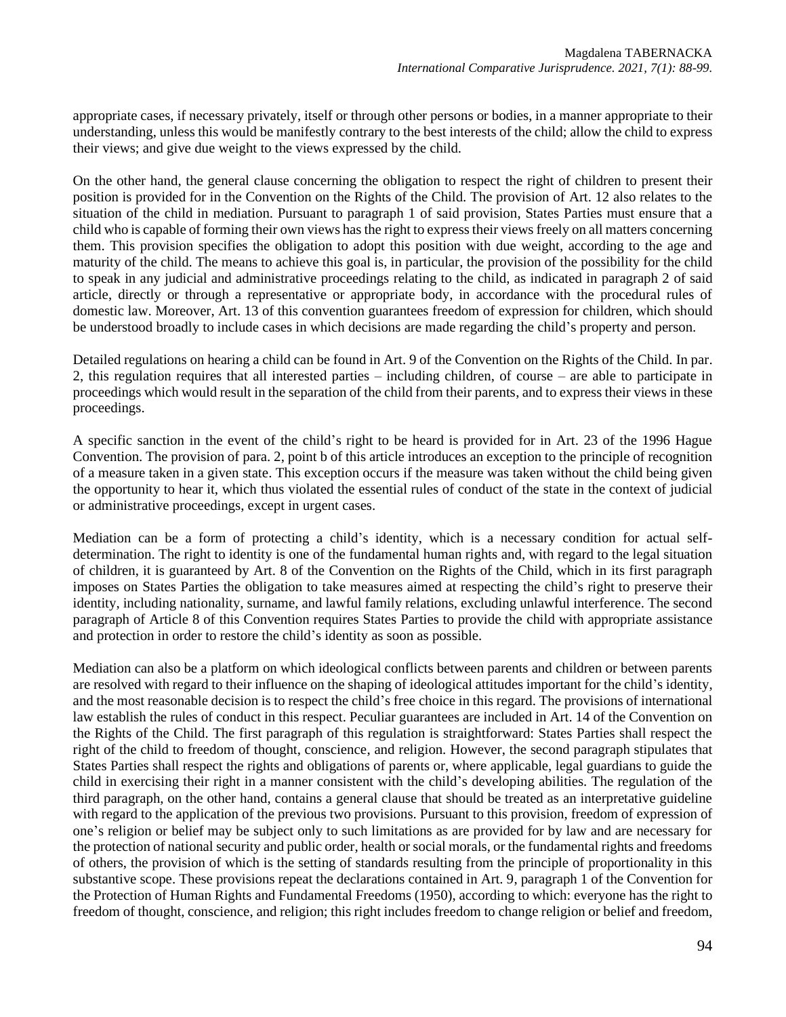appropriate cases, if necessary privately, itself or through other persons or bodies, in a manner appropriate to their understanding, unless this would be manifestly contrary to the best interests of the child; allow the child to express their views; and give due weight to the views expressed by the child.

On the other hand, the general clause concerning the obligation to respect the right of children to present their position is provided for in the Convention on the Rights of the Child. The provision of Art. 12 also relates to the situation of the child in mediation. Pursuant to paragraph 1 of said provision, States Parties must ensure that a child who is capable of forming their own views has the right to express their views freely on all matters concerning them. This provision specifies the obligation to adopt this position with due weight, according to the age and maturity of the child. The means to achieve this goal is, in particular, the provision of the possibility for the child to speak in any judicial and administrative proceedings relating to the child, as indicated in paragraph 2 of said article, directly or through a representative or appropriate body, in accordance with the procedural rules of domestic law. Moreover, Art. 13 of this convention guarantees freedom of expression for children, which should be understood broadly to include cases in which decisions are made regarding the child's property and person.

Detailed regulations on hearing a child can be found in Art. 9 of the Convention on the Rights of the Child. In par. 2, this regulation requires that all interested parties – including children, of course – are able to participate in proceedings which would result in the separation of the child from their parents, and to express their views in these proceedings.

A specific sanction in the event of the child's right to be heard is provided for in Art. 23 of the 1996 Hague Convention. The provision of para. 2, point b of this article introduces an exception to the principle of recognition of a measure taken in a given state. This exception occurs if the measure was taken without the child being given the opportunity to hear it, which thus violated the essential rules of conduct of the state in the context of judicial or administrative proceedings, except in urgent cases.

Mediation can be a form of protecting a child's identity, which is a necessary condition for actual selfdetermination. The right to identity is one of the fundamental human rights and, with regard to the legal situation of children, it is guaranteed by Art. 8 of the Convention on the Rights of the Child, which in its first paragraph imposes on States Parties the obligation to take measures aimed at respecting the child's right to preserve their identity, including nationality, surname, and lawful family relations, excluding unlawful interference. The second paragraph of Article 8 of this Convention requires States Parties to provide the child with appropriate assistance and protection in order to restore the child's identity as soon as possible.

Mediation can also be a platform on which ideological conflicts between parents and children or between parents are resolved with regard to their influence on the shaping of ideological attitudes important for the child's identity, and the most reasonable decision is to respect the child's free choice in this regard. The provisions of international law establish the rules of conduct in this respect. Peculiar guarantees are included in Art. 14 of the Convention on the Rights of the Child. The first paragraph of this regulation is straightforward: States Parties shall respect the right of the child to freedom of thought, conscience, and religion. However, the second paragraph stipulates that States Parties shall respect the rights and obligations of parents or, where applicable, legal guardians to guide the child in exercising their right in a manner consistent with the child's developing abilities. The regulation of the third paragraph, on the other hand, contains a general clause that should be treated as an interpretative guideline with regard to the application of the previous two provisions. Pursuant to this provision, freedom of expression of one's religion or belief may be subject only to such limitations as are provided for by law and are necessary for the protection of national security and public order, health or social morals, or the fundamental rights and freedoms of others, the provision of which is the setting of standards resulting from the principle of proportionality in this substantive scope. These provisions repeat the declarations contained in Art. 9, paragraph 1 of the Convention for the Protection of Human Rights and Fundamental Freedoms (1950), according to which: everyone has the right to freedom of thought, conscience, and religion; this right includes freedom to change religion or belief and freedom,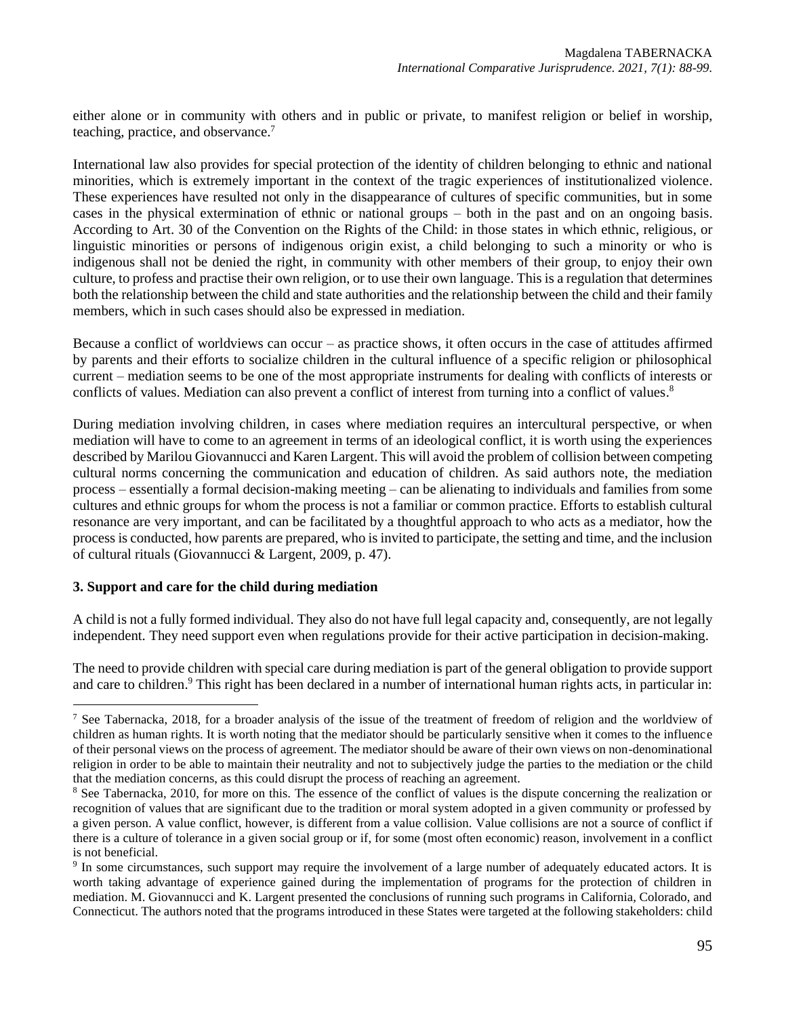either alone or in community with others and in public or private, to manifest religion or belief in worship, teaching, practice, and observance. 7

International law also provides for special protection of the identity of children belonging to ethnic and national minorities, which is extremely important in the context of the tragic experiences of institutionalized violence. These experiences have resulted not only in the disappearance of cultures of specific communities, but in some cases in the physical extermination of ethnic or national groups – both in the past and on an ongoing basis. According to Art. 30 of the Convention on the Rights of the Child: in those states in which ethnic, religious, or linguistic minorities or persons of indigenous origin exist, a child belonging to such a minority or who is indigenous shall not be denied the right, in community with other members of their group, to enjoy their own culture, to profess and practise their own religion, or to use their own language. This is a regulation that determines both the relationship between the child and state authorities and the relationship between the child and their family members, which in such cases should also be expressed in mediation.

Because a conflict of worldviews can occur – as practice shows, it often occurs in the case of attitudes affirmed by parents and their efforts to socialize children in the cultural influence of a specific religion or philosophical current – mediation seems to be one of the most appropriate instruments for dealing with conflicts of interests or conflicts of values. Mediation can also prevent a conflict of interest from turning into a conflict of values.<sup>8</sup>

During mediation involving children, in cases where mediation requires an intercultural perspective, or when mediation will have to come to an agreement in terms of an ideological conflict, it is worth using the experiences described by Marilou Giovannucci and Karen Largent. This will avoid the problem of collision between competing cultural norms concerning the communication and education of children. As said authors note, the mediation process – essentially a formal decision-making meeting – can be alienating to individuals and families from some cultures and ethnic groups for whom the process is not a familiar or common practice. Efforts to establish cultural resonance are very important, and can be facilitated by a thoughtful approach to who acts as a mediator, how the process is conducted, how parents are prepared, who is invited to participate, the setting and time, and the inclusion of cultural rituals (Giovannucci & Largent, 2009, p. 47).

### **3. Support and care for the child during mediation**

A child is not a fully formed individual. They also do not have full legal capacity and, consequently, are not legally independent. They need support even when regulations provide for their active participation in decision-making.

The need to provide children with special care during mediation is part of the general obligation to provide support and care to children.<sup>9</sup> This right has been declared in a number of international human rights acts, in particular in:

<sup>&</sup>lt;sup>7</sup> See Tabernacka, 2018, for a broader analysis of the issue of the treatment of freedom of religion and the worldview of children as human rights. It is worth noting that the mediator should be particularly sensitive when it comes to the influence of their personal views on the process of agreement. The mediator should be aware of their own views on non-denominational religion in order to be able to maintain their neutrality and not to subjectively judge the parties to the mediation or the child that the mediation concerns, as this could disrupt the process of reaching an agreement.

 $8$  See Tabernacka, 2010, for more on this. The essence of the conflict of values is the dispute concerning the realization or recognition of values that are significant due to the tradition or moral system adopted in a given community or professed by a given person. A value conflict, however, is different from a value collision. Value collisions are not a source of conflict if there is a culture of tolerance in a given social group or if, for some (most often economic) reason, involvement in a conflict is not beneficial.

<sup>&</sup>lt;sup>9</sup> In some circumstances, such support may require the involvement of a large number of adequately educated actors. It is worth taking advantage of experience gained during the implementation of programs for the protection of children in mediation. M. Giovannucci and K. Largent presented the conclusions of running such programs in California, Colorado, and Connecticut. The authors noted that the programs introduced in these States were targeted at the following stakeholders: child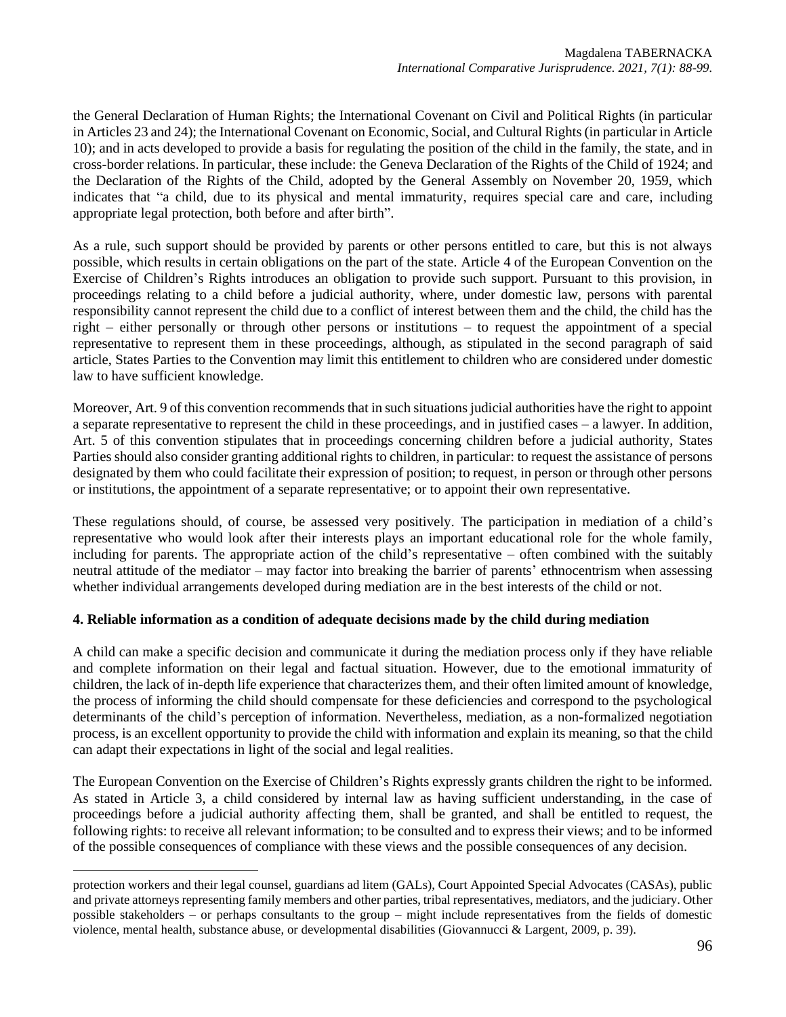the General Declaration of Human Rights; the International Covenant on Civil and Political Rights (in particular in Articles 23 and 24); the International Covenant on Economic, Social, and Cultural Rights (in particular in Article 10); and in acts developed to provide a basis for regulating the position of the child in the family, the state, and in cross-border relations. In particular, these include: the Geneva Declaration of the Rights of the Child of 1924; and the Declaration of the Rights of the Child, adopted by the General Assembly on November 20, 1959, which indicates that "a child, due to its physical and mental immaturity, requires special care and care, including appropriate legal protection, both before and after birth".

As a rule, such support should be provided by parents or other persons entitled to care, but this is not always possible, which results in certain obligations on the part of the state. Article 4 of the European Convention on the Exercise of Children's Rights introduces an obligation to provide such support. Pursuant to this provision, in proceedings relating to a child before a judicial authority, where, under domestic law, persons with parental responsibility cannot represent the child due to a conflict of interest between them and the child, the child has the right – either personally or through other persons or institutions – to request the appointment of a special representative to represent them in these proceedings, although, as stipulated in the second paragraph of said article, States Parties to the Convention may limit this entitlement to children who are considered under domestic law to have sufficient knowledge.

Moreover, Art. 9 of this convention recommends that in such situations judicial authorities have the right to appoint a separate representative to represent the child in these proceedings, and in justified cases – a lawyer. In addition, Art. 5 of this convention stipulates that in proceedings concerning children before a judicial authority, States Parties should also consider granting additional rights to children, in particular: to request the assistance of persons designated by them who could facilitate their expression of position; to request, in person or through other persons or institutions, the appointment of a separate representative; or to appoint their own representative.

These regulations should, of course, be assessed very positively. The participation in mediation of a child's representative who would look after their interests plays an important educational role for the whole family, including for parents. The appropriate action of the child's representative – often combined with the suitably neutral attitude of the mediator – may factor into breaking the barrier of parents' ethnocentrism when assessing whether individual arrangements developed during mediation are in the best interests of the child or not.

### **4. Reliable information as a condition of adequate decisions made by the child during mediation**

A child can make a specific decision and communicate it during the mediation process only if they have reliable and complete information on their legal and factual situation. However, due to the emotional immaturity of children, the lack of in-depth life experience that characterizes them, and their often limited amount of knowledge, the process of informing the child should compensate for these deficiencies and correspond to the psychological determinants of the child's perception of information. Nevertheless, mediation, as a non-formalized negotiation process, is an excellent opportunity to provide the child with information and explain its meaning, so that the child can adapt their expectations in light of the social and legal realities.

The European Convention on the Exercise of Children's Rights expressly grants children the right to be informed. As stated in Article 3, a child considered by internal law as having sufficient understanding, in the case of proceedings before a judicial authority affecting them, shall be granted, and shall be entitled to request, the following rights: to receive all relevant information; to be consulted and to express their views; and to be informed of the possible consequences of compliance with these views and the possible consequences of any decision.

protection workers and their legal counsel, guardians ad litem (GALs), Court Appointed Special Advocates (CASAs), public and private attorneys representing family members and other parties, tribal representatives, mediators, and the judiciary. Other possible stakeholders – or perhaps consultants to the group – might include representatives from the fields of domestic violence, mental health, substance abuse, or developmental disabilities (Giovannucci & Largent, 2009, p. 39).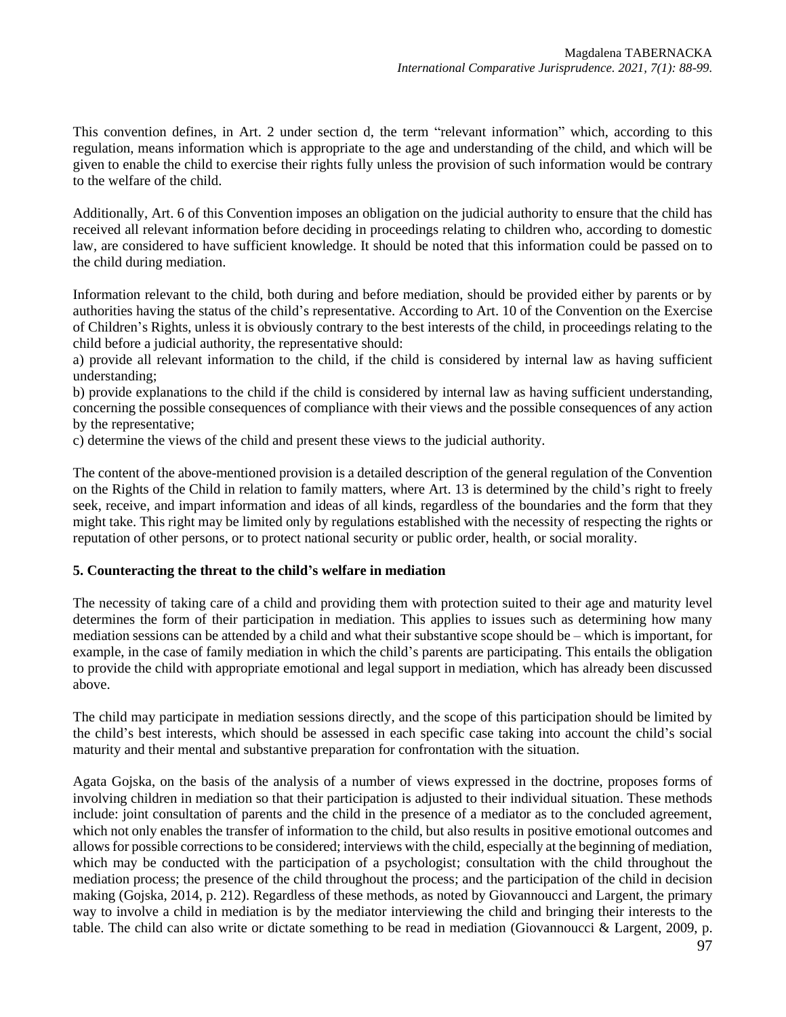This convention defines, in Art. 2 under section d, the term "relevant information" which, according to this regulation, means information which is appropriate to the age and understanding of the child, and which will be given to enable the child to exercise their rights fully unless the provision of such information would be contrary to the welfare of the child.

Additionally, Art. 6 of this Convention imposes an obligation on the judicial authority to ensure that the child has received all relevant information before deciding in proceedings relating to children who, according to domestic law, are considered to have sufficient knowledge. It should be noted that this information could be passed on to the child during mediation.

Information relevant to the child, both during and before mediation, should be provided either by parents or by authorities having the status of the child's representative. According to Art. 10 of the Convention on the Exercise of Children's Rights, unless it is obviously contrary to the best interests of the child, in proceedings relating to the child before a judicial authority, the representative should:

a) provide all relevant information to the child, if the child is considered by internal law as having sufficient understanding;

b) provide explanations to the child if the child is considered by internal law as having sufficient understanding, concerning the possible consequences of compliance with their views and the possible consequences of any action by the representative;

c) determine the views of the child and present these views to the judicial authority.

The content of the above-mentioned provision is a detailed description of the general regulation of the Convention on the Rights of the Child in relation to family matters, where Art. 13 is determined by the child's right to freely seek, receive, and impart information and ideas of all kinds, regardless of the boundaries and the form that they might take. This right may be limited only by regulations established with the necessity of respecting the rights or reputation of other persons, or to protect national security or public order, health, or social morality.

### **5. Counteracting the threat to the child's welfare in mediation**

The necessity of taking care of a child and providing them with protection suited to their age and maturity level determines the form of their participation in mediation. This applies to issues such as determining how many mediation sessions can be attended by a child and what their substantive scope should be – which is important, for example, in the case of family mediation in which the child's parents are participating. This entails the obligation to provide the child with appropriate emotional and legal support in mediation, which has already been discussed above.

The child may participate in mediation sessions directly, and the scope of this participation should be limited by the child's best interests, which should be assessed in each specific case taking into account the child's social maturity and their mental and substantive preparation for confrontation with the situation.

Agata Gojska, on the basis of the analysis of a number of views expressed in the doctrine, proposes forms of involving children in mediation so that their participation is adjusted to their individual situation. These methods include: joint consultation of parents and the child in the presence of a mediator as to the concluded agreement, which not only enables the transfer of information to the child, but also results in positive emotional outcomes and allows for possible corrections to be considered; interviews with the child, especially at the beginning of mediation, which may be conducted with the participation of a psychologist; consultation with the child throughout the mediation process; the presence of the child throughout the process; and the participation of the child in decision making (Gojska, 2014, p. 212). Regardless of these methods, as noted by Giovannoucci and Largent, the primary way to involve a child in mediation is by the mediator interviewing the child and bringing their interests to the table. The child can also write or dictate something to be read in mediation (Giovannoucci & Largent, 2009, p.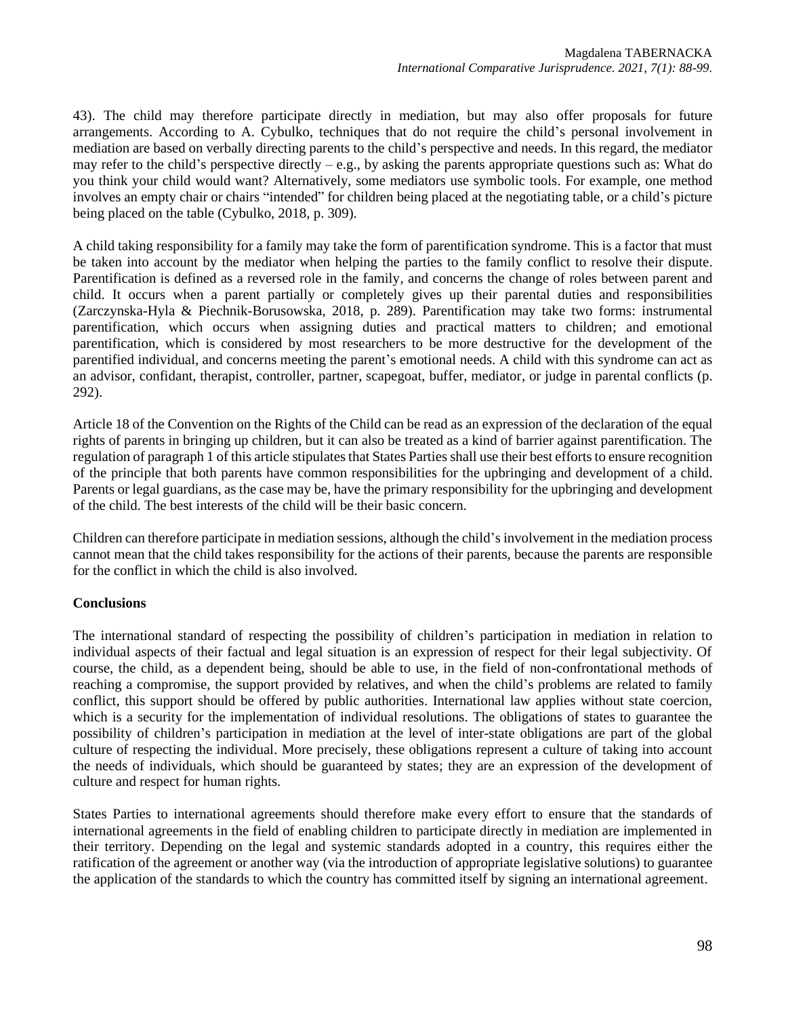43). The child may therefore participate directly in mediation, but may also offer proposals for future arrangements. According to A. Cybulko, techniques that do not require the child's personal involvement in mediation are based on verbally directing parents to the child's perspective and needs. In this regard, the mediator may refer to the child's perspective directly  $- e.g.,$  by asking the parents appropriate questions such as: What do you think your child would want? Alternatively, some mediators use symbolic tools. For example, one method involves an empty chair or chairs "intended" for children being placed at the negotiating table, or a child's picture being placed on the table (Cybulko, 2018, p. 309).

A child taking responsibility for a family may take the form of parentification syndrome. This is a factor that must be taken into account by the mediator when helping the parties to the family conflict to resolve their dispute. Parentification is defined as a reversed role in the family, and concerns the change of roles between parent and child. It occurs when a parent partially or completely gives up their parental duties and responsibilities (Zarczynska-Hyla & Piechnik-Borusowska, 2018, p. 289). Parentification may take two forms: instrumental parentification, which occurs when assigning duties and practical matters to children; and emotional parentification, which is considered by most researchers to be more destructive for the development of the parentified individual, and concerns meeting the parent's emotional needs. A child with this syndrome can act as an advisor, confidant, therapist, controller, partner, scapegoat, buffer, mediator, or judge in parental conflicts (p. 292).

Article 18 of the Convention on the Rights of the Child can be read as an expression of the declaration of the equal rights of parents in bringing up children, but it can also be treated as a kind of barrier against parentification. The regulation of paragraph 1 of this article stipulates that States Parties shall use their best efforts to ensure recognition of the principle that both parents have common responsibilities for the upbringing and development of a child. Parents or legal guardians, as the case may be, have the primary responsibility for the upbringing and development of the child. The best interests of the child will be their basic concern.

Children can therefore participate in mediation sessions, although the child's involvement in the mediation process cannot mean that the child takes responsibility for the actions of their parents, because the parents are responsible for the conflict in which the child is also involved.

### **Conclusions**

The international standard of respecting the possibility of children's participation in mediation in relation to individual aspects of their factual and legal situation is an expression of respect for their legal subjectivity. Of course, the child, as a dependent being, should be able to use, in the field of non-confrontational methods of reaching a compromise, the support provided by relatives, and when the child's problems are related to family conflict, this support should be offered by public authorities. International law applies without state coercion, which is a security for the implementation of individual resolutions. The obligations of states to guarantee the possibility of children's participation in mediation at the level of inter-state obligations are part of the global culture of respecting the individual. More precisely, these obligations represent a culture of taking into account the needs of individuals, which should be guaranteed by states; they are an expression of the development of culture and respect for human rights.

States Parties to international agreements should therefore make every effort to ensure that the standards of international agreements in the field of enabling children to participate directly in mediation are implemented in their territory. Depending on the legal and systemic standards adopted in a country, this requires either the ratification of the agreement or another way (via the introduction of appropriate legislative solutions) to guarantee the application of the standards to which the country has committed itself by signing an international agreement.